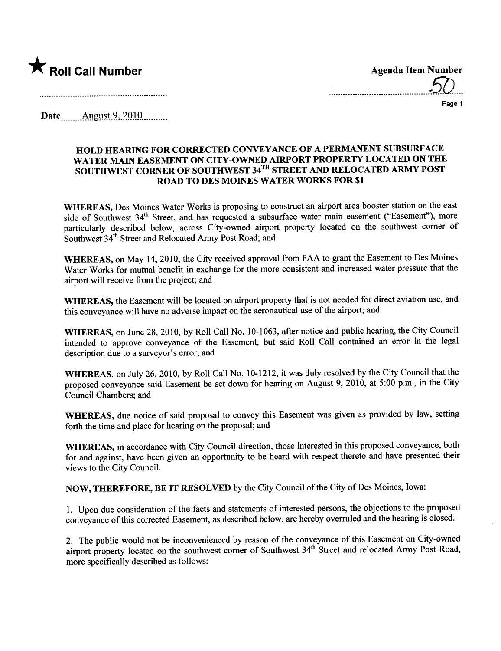

...........................................50....

Page 1

Date  $\frac{\text{August } 9,2010}{\text{August } 9,2010}$ 

## HOLD HEARING FOR CORRECTED CONVEYANCE OF A PERMANENT SUBSURFACE WATER MAIN EASEMENT ON CITY-OWNED AIRPORT PROPERTY LOCATED ON THE SOUTHWEST CORNER OF SOUTHWEST 34TH STREET AND RELOCATED ARMY POST ROAD TO DES MOINES WATER WORKS FOR \$1

WHEREAS, Des Moines Water Works is proposing to construct an airport area booster station on the east side of Southwest 34<sup>th</sup> Street, and has requested a subsurface water main easement ("Easement"), more particularly described below, across City-owned airport property located on the southwest corner of Southwest 34<sup>th</sup> Street and Relocated Army Post Road; and

WHEREAS, on May 14, 2010, the City received approval from FAA to grant the Easement to Des Moines Water Works for mutual benefit in exchange for the more consistent and increased water pressure that the airport will receive from the project; and

WHEREAS, the Easement will be located on airport property that is not needed for direct aviation use, and this conveyance will have no adverse impact on the aeronautical use of the airport; and

WHEREAS, on June 28, 2010, by Roll Call No. 10-1063, after notice and public hearing, the City Council intended to approve conveyance of the Easement, but said Roll Call contained an error in the legal description due to a surveyor's error; and

WHEREAS, on July 26, 2010, by Roll Call No. 10-1212, it was duly resolved by the City Council that the proposed conveyance said Easement be set down for hearing on August 9, 2010, at 5:00 p.m., in the City Council Chambers; and

WHEREAS, due notice of said proposal to convey this Easement was given as provided by law, setting forth the time and place for hearing on the proposal; and

WHEREAS, in accordance with City Council direction, those interested in this proposed conveyance, both for and against, have been given an opportunity to be heard with respect thereto and have presented their views to the City CounciL.

NOW, THEREFORE, BE IT RESOLVED by the City Council of the City of Des Moines, Iowa:

1. Upon due consideration of the facts and statements of interested persons, the objections to the proposed conveyance of this corrected Easement, as described below, are hereby overruled and the hearing is closed.

2. The public would not be inconvenienced by reason of the conveyance of this Easement on City-owned airport property located on the southwest corner of Southwest 34<sup>th</sup> Street and relocated Army Post Road, more specifically described as follows: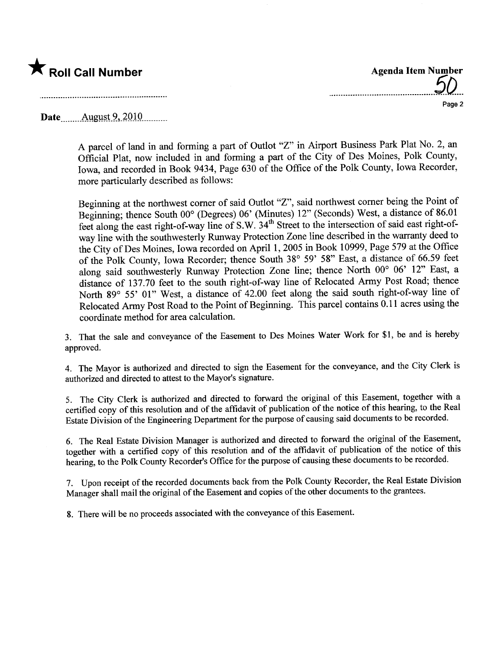

.............................................50... Page 2

Date \_\_\_\_\_\_ August 9, 2010 \_\_\_\_\_..

A parcel of land in and forming a part of Outlot "z" in Airport Business Park Plat No.2, an Official Plat, now included in and forming a part of the City of Des Moines, Polk County, Iowa, and recorded in Book 9434, Page 630 of the Office of the Polk County, Iowa Recorder, more paricularly described as follows:

Beginning at the northwest comer of said Outlot "Z", said northwest comer being the Point of Beginning; thence South 00° (Degrees) 06' (Minutes) 12" (Seconds) West, a distance of 86.01 feet along the east right-of-way line of S.W. 34<sup>th</sup> Street to the intersection of said east right-ofway line with the southwesterly Runway Protection Zone line described in the waranty deed to the City of Des Moines, Iowa recorded on April 1, 2005 in Book 10999, Page 579 at the Office of the Polk County, Iowa Recorder; thence South 38° 59' 58" East, a distance of 66.59 feet along said southwesterly Runway Protection Zone line; thence North 00° 06' 12" East, a distance of 137.70 feet to the south right-of-way line of Relocated Army Post Road; thence North 89° 55' 01" West, a distance of 42.00 feet along the said south right-of-way line of Relocated Army Post Road to the Point of Beginning. This parcel contains 0.11 acres using the coordinate method for area calculation.

3. That the sale and conveyance of the Easement to Des Moines Water Work for \$1, be and is hereby approved.

4. The Mayor is authorized and directed to sign the Easement for the conveyance, and the City Clerk is authorized and directed to attest to the Mayor's signature.

5. The City Clerk is authorized and directed to forward the original of this Easement, together with a certified copy of this resolution and of the affidavit of publication of the notice of this hearing, to the Real Estate Division of the Engineering Department for the purpose of causing said documents to be recorded.

6. The Real Estate Division Manager is authorized and directed to forward the original of the Easement, together with a certified copy of this resolution and of the affdavit of publication of the notice of this hearing, to the Polk County Recorder's Office for the purpose of causing these documents to be recorded.

7. Upon receipt of the recorded documents back from the Polk County Recorder, the Real Estate Division Manager shall mail the original of the Easement and copies of the other documents to the grantees.

8. There will be no proceeds associated with the conveyance of this Easement.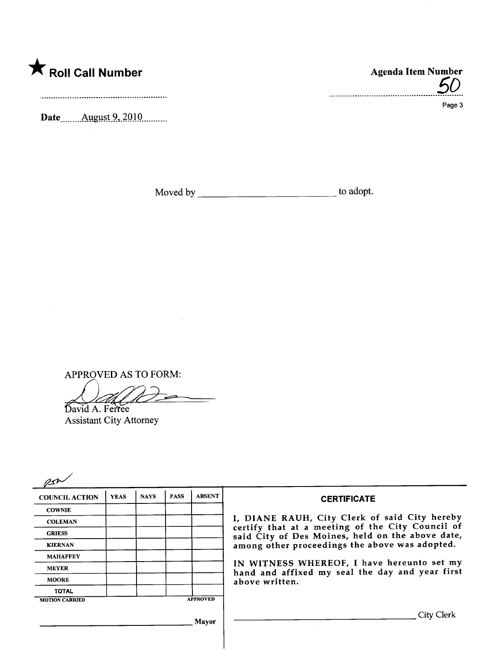

Date \_\_\_\_\_\_\_ August 9, 2010 \_\_\_\_\_\_\_

APPROVED AS TO FORM:

David A. Ferree

**Assistant City Attorney** 

| <b>COUNCIL ACTION</b> | <b>YEAS</b> | <b>NAYS</b> | <b>PASS</b> | <b>ABSENT</b>   | <b>CERTIFICATE</b>                                                                                              |
|-----------------------|-------------|-------------|-------------|-----------------|-----------------------------------------------------------------------------------------------------------------|
| <b>COWNIE</b>         |             |             |             |                 |                                                                                                                 |
| <b>COLEMAN</b>        |             |             |             |                 | I, DIANE RAUH, City Clerk of said City hereby<br>certify that at a meeting of the City Council of               |
| <b>GRIESS</b>         |             |             |             |                 | said City of Des Moines, held on the above date,<br>among other proceedings the above was adopted.              |
| <b>KIERNAN</b>        |             |             |             |                 |                                                                                                                 |
| <b>MAHAFFEY</b>       |             |             |             |                 |                                                                                                                 |
| <b>MEYER</b>          |             |             |             |                 | IN WITNESS WHEREOF, I have hereunto set my<br>hand and affixed my seal the day and year first<br>above written. |
| <b>MOORE</b>          |             |             |             |                 |                                                                                                                 |
| <b>TOTAL</b>          |             |             |             |                 |                                                                                                                 |
| <b>MOTION CARRIED</b> |             |             |             | <b>APPROVED</b> |                                                                                                                 |
|                       |             |             |             | Mavor           | City Clerk                                                                                                      |

Agenda Item Number .............................

Page 3